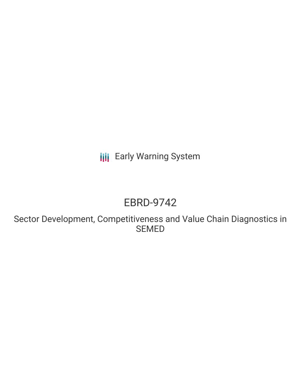**III** Early Warning System

# EBRD-9742

Sector Development, Competitiveness and Value Chain Diagnostics in SEMED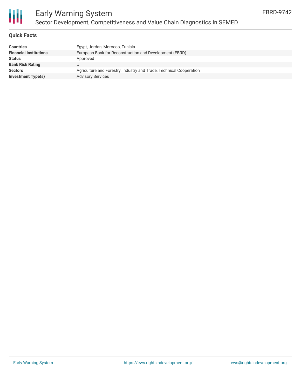

### **Quick Facts**

| <b>Countries</b>              | Egypt, Jordan, Morocco, Tunisia                                     |
|-------------------------------|---------------------------------------------------------------------|
| <b>Financial Institutions</b> | European Bank for Reconstruction and Development (EBRD)             |
| <b>Status</b>                 | Approved                                                            |
| <b>Bank Risk Rating</b>       |                                                                     |
| <b>Sectors</b>                | Agriculture and Forestry, Industry and Trade, Technical Cooperation |
| Investment Type(s)            | <b>Advisory Services</b>                                            |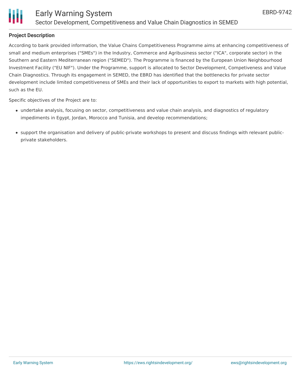

### **Project Description**

According to bank provided information, the Value Chains Competitiveness Programme aims at enhancing competitiveness of small and medium enterprises ("SMEs") in the Industry, Commerce and Agribusiness sector ("ICA", corporate sector) in the Southern and Eastern Mediterranean region ("SEMED"). The Programme is financed by the European Union Neighbourhood Investment Facility ("EU NIF"). Under the Programme, support is allocated to Sector Development, Competiveness and Value Chain Diagnostics. Through its engagement in SEMED, the EBRD has identified that the bottlenecks for private sector development include limited competitiveness of SMEs and their lack of opportunities to export to markets with high potential, such as the EU.

Specific objectives of the Project are to:

- undertake analysis, focusing on sector, competitiveness and value chain analysis, and diagnostics of regulatory impediments in Egypt, Jordan, Morocco and Tunisia, and develop recommendations;
- support the organisation and delivery of public-private workshops to present and discuss findings with relevant publicprivate stakeholders.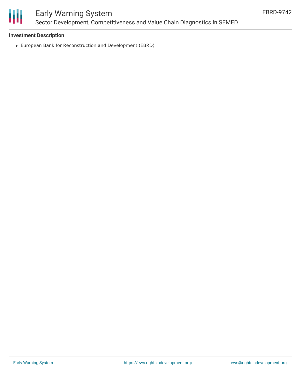

## Early Warning System Sector Development, Competitiveness and Value Chain Diagnostics in SEMED

### **Investment Description**

European Bank for Reconstruction and Development (EBRD)